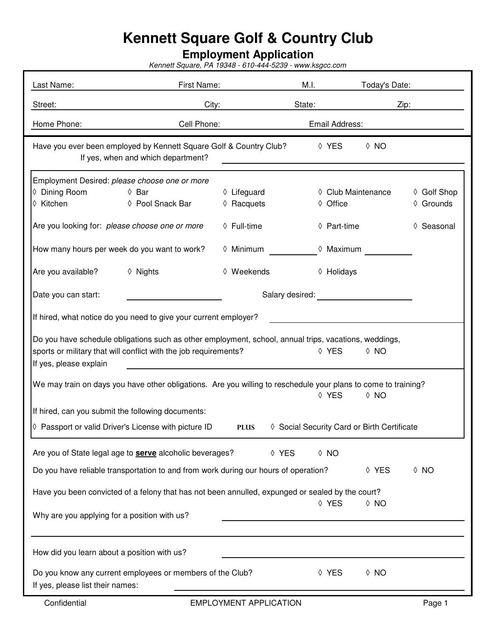## **Kennett Square Golf & Country Club**

## **Employment Application**

Kennett Square, PA 19348 - 610-444-5239 - www.ksgcc.com

| Last Name:                                                                                                                                                                                                                    | First Name:                                                                                                                                                                                                                    |                                    | M.I.               | Today's Date:      |                          |  |  |  |  |
|-------------------------------------------------------------------------------------------------------------------------------------------------------------------------------------------------------------------------------|--------------------------------------------------------------------------------------------------------------------------------------------------------------------------------------------------------------------------------|------------------------------------|--------------------|--------------------|--------------------------|--|--|--|--|
| Street:                                                                                                                                                                                                                       |                                                                                                                                                                                                                                | City:                              |                    |                    | Zip:                     |  |  |  |  |
| Home Phone:                                                                                                                                                                                                                   | Cell Phone:                                                                                                                                                                                                                    |                                    | Email Address:     |                    |                          |  |  |  |  |
| Have you ever been employed by Kennett Square Golf & Country Club?<br>◊ YES<br>$\Diamond$ NO<br>If yes, when and which department?                                                                                            |                                                                                                                                                                                                                                |                                    |                    |                    |                          |  |  |  |  |
| Employment Desired: please choose one or more                                                                                                                                                                                 |                                                                                                                                                                                                                                |                                    |                    |                    |                          |  |  |  |  |
| ♦ Dining Room<br>♦ Kitchen                                                                                                                                                                                                    | ♦ Bar<br>♦ Pool Snack Bar                                                                                                                                                                                                      | $\Diamond$ Lifeguard<br>♦ Racquets | ♦ Office           | ♦ Club Maintenance | ♦ Golf Shop<br>♦ Grounds |  |  |  |  |
| Are you looking for: please choose one or more                                                                                                                                                                                |                                                                                                                                                                                                                                | ♦ Full-time                        | ♦ Part-time        |                    | Seasonal<br>♦            |  |  |  |  |
| How many hours per week do you want to work?                                                                                                                                                                                  |                                                                                                                                                                                                                                | $\Diamond$ Minimum                 | $\Diamond$ Maximum |                    |                          |  |  |  |  |
| Are you available?                                                                                                                                                                                                            | ♦ Nights                                                                                                                                                                                                                       | ◊ Weekends                         | ♦ Holidays         |                    |                          |  |  |  |  |
| Date you can start:                                                                                                                                                                                                           | Salary desired: The contract of the same state of the state of the state of the state of the state of the state of the state of the state of the state of the state of the state of the state of the state of the state of the |                                    |                    |                    |                          |  |  |  |  |
| If hired, what notice do you need to give your current employer?                                                                                                                                                              |                                                                                                                                                                                                                                |                                    |                    |                    |                          |  |  |  |  |
| Do you have schedule obligations such as other employment, school, annual trips, vacations, weddings,<br>sports or military that will conflict with the job requirements?<br>◊ YES<br>$\Diamond$ NO<br>If yes, please explain |                                                                                                                                                                                                                                |                                    |                    |                    |                          |  |  |  |  |
| We may train on days you have other obligations. Are you willing to reschedule your plans to come to training?<br>◊ YES<br>$\lozenge$ NO                                                                                      |                                                                                                                                                                                                                                |                                    |                    |                    |                          |  |  |  |  |
| If hired, can you submit the following documents:                                                                                                                                                                             |                                                                                                                                                                                                                                |                                    |                    |                    |                          |  |  |  |  |
| ♦ Passport or valid Driver's License with picture ID<br>♦ Social Security Card or Birth Certificate<br><b>PLUS</b>                                                                                                            |                                                                                                                                                                                                                                |                                    |                    |                    |                          |  |  |  |  |
|                                                                                                                                                                                                                               | Are you of State legal age to <b>serve</b> alcoholic beverages?                                                                                                                                                                | ◊ YES                              | $\Diamond$ NO      |                    |                          |  |  |  |  |
| Do you have reliable transportation to and from work during our hours of operation?<br>$\Diamond$ NO<br>◊ YES                                                                                                                 |                                                                                                                                                                                                                                |                                    |                    |                    |                          |  |  |  |  |
| Have you been convicted of a felony that has not been annulled, expunged or sealed by the court?                                                                                                                              |                                                                                                                                                                                                                                |                                    |                    |                    |                          |  |  |  |  |
| Why are you applying for a position with us?                                                                                                                                                                                  |                                                                                                                                                                                                                                |                                    | ◊ YES              | $\Diamond$ NO      |                          |  |  |  |  |
|                                                                                                                                                                                                                               |                                                                                                                                                                                                                                |                                    |                    |                    |                          |  |  |  |  |
| How did you learn about a position with us?                                                                                                                                                                                   |                                                                                                                                                                                                                                |                                    |                    |                    |                          |  |  |  |  |
| If yes, please list their names:                                                                                                                                                                                              | Do you know any current employees or members of the Club?                                                                                                                                                                      |                                    | ◊ YES              | $\Diamond$ NO      |                          |  |  |  |  |